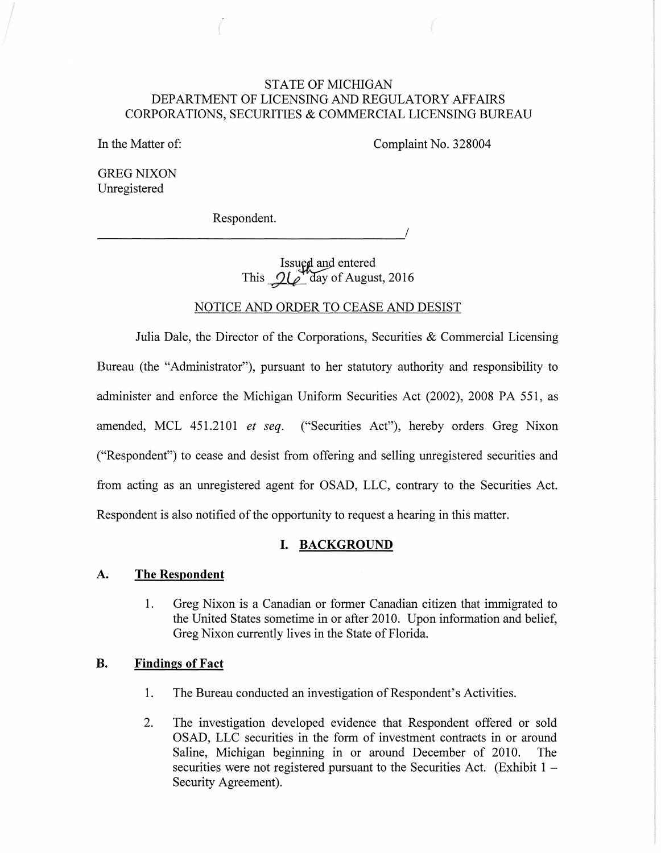# STATE OF MICHIGAN DEPARTMENT OF LICENSING AND REGULATORY AFFAIRS CORPORATIONS, SECURITIES & COMMERCIAL LICENSING BUREAU

In the Matter of:

Complaint No. 328004

GREG NIXON Unregistered

Respondent.

----------------------------------------~/

Issued and entered This  $\mathcal{Q}(\mathscr{E}^{\bullet})$  day of August, 2016

## NOTICE AND ORDER TO CEASE AND DESIST

Julia Dale, the Director of the Corporations, Securities  $\&$  Commercial Licensing Bureau (the "Administrator"), pursuant to her statutory authority and responsibility to administer and enforce the Michigan Uniform Securities Act (2002), 2008 PA 551, as amended, MCL 451.2101 *et seq.* ("Securities Act"), hereby orders Greg Nixon ("Respondent") to cease and desist from offering and selling unregistered securities and from acting as an unregistered agent for OSAD, LLC, contrary to the Securities Act. Respondent is also notified of the opportunity to request a hearing in this matter.

### **I. BACKGROUND**

#### **A. The Respondent**

1. Greg Nixon is a Canadian or former Canadian citizen that immigrated to the United States sometime in or after 2010. Upon information and belief, Greg Nixon currently lives in the State of Florida.

## **B. Findings of Fact**

- 1. The Bureau conducted an investigation of Respondent's Activities.
- 2. The investigation developed evidence that Respondent offered or sold OSAD, LLC securities in the form of investment contracts in or around Saline, Michigan beginning in or around December of 2010. The securities were not registered pursuant to the Securities Act. (Exhibit  $1 -$ Security Agreement).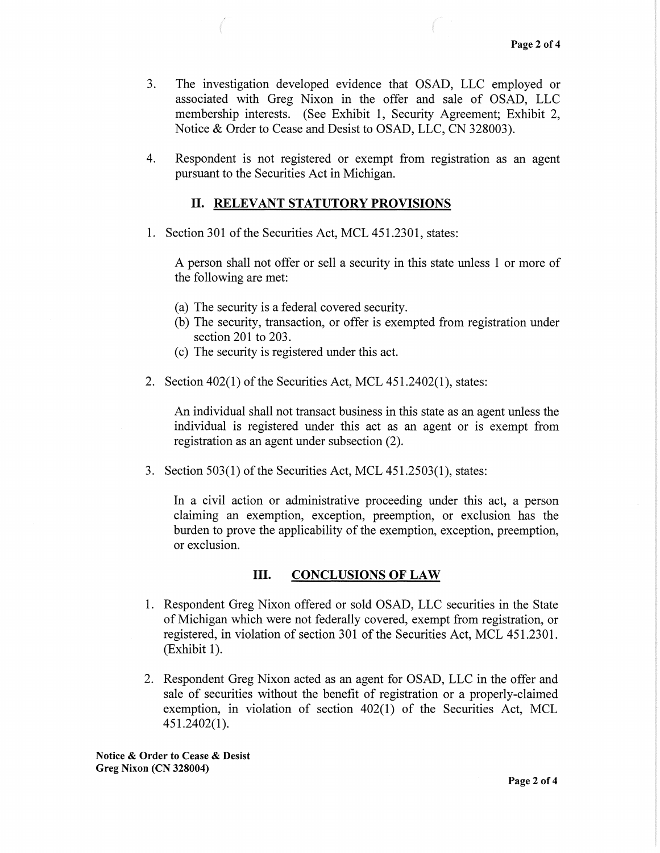- 3. The investigation developed evidence that OSAD, LLC employed or associated with Greg Nixon in the offer and sale of OSAD, LLC membership interests. (See Exhibit 1, Security Agreement; Exhibit 2, Notice & Order to Cease and Desist to OSAD, LLC, CN 328003).
- 4. Respondent is not registered or exempt from registration as an agent pursuant to the Securities Act in Michigan.

# II. RELEVANT STATUTORY PROVISIONS

1. Section 301 of the Securities Act, MCL 451.2301, states:

A person shall not offer or sell a security in this state unless 1 or more of the following are met:

- (a) The security is a federal covered security.
- (b) The security, transaction, or offer is exempted from registration under section 201 to 203.
- (c) The security is registered under this act.
- 2. Section 402(1) of the Securities Act, MCL 451.2402(1), states:

An individual shall not transact business in this state as an agent unless the individual is registered under this act as an agent or is exempt from registration as an agent under subsection (2).

3. Section  $503(1)$  of the Securities Act, MCL  $451.2503(1)$ , states:

In a civil action or administrative proceeding under this act, a person claiming an exemption, exception, preemption, or exclusion has the burden to prove the applicability of the exemption, exception, preemption, or exclusion.

# III. CONCLUSIONS OF LAW

- 1. Respondent Greg Nixon offered or sold OSAD, LLC securities in the State of Michigan which were not federally covered, exempt from registration, or registered, in violation of section 301 of the Securities Act, MCL 451.2301.  $(Exhibit 1).$
- 2. Respondent Greg Nixon acted as an agent for OSAD, LLC in the offer and sale of securities without the benefit of registration or a properly-claimed exemption, in violation of section 402(1) of the Securities Act, MCL 451.2402(1 ).

Notice & Order to Cease & Desist Greg Nixon (CN 328004)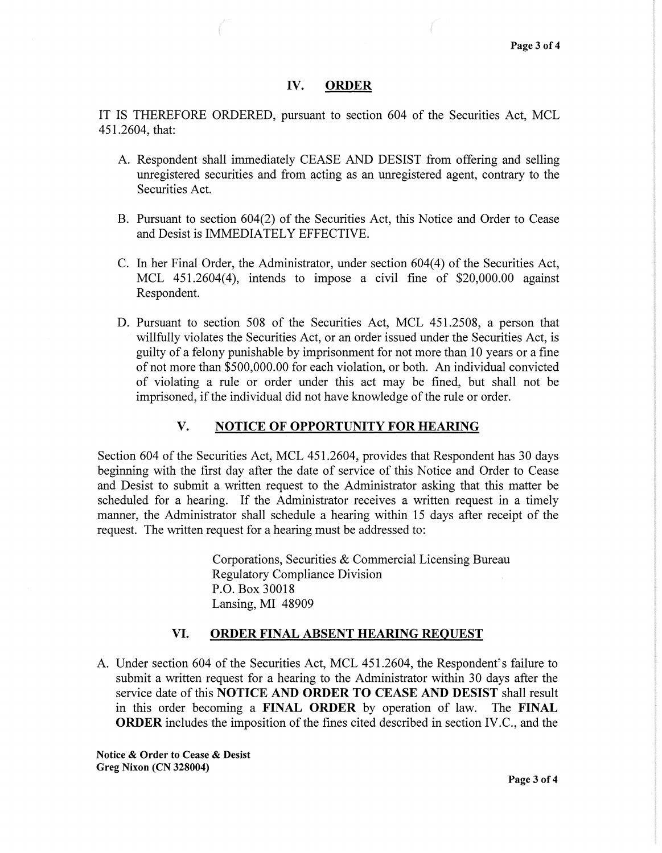### IV. ORDER

IT IS THEREFORE ORDERED, pursuant to section 604 of the Securities Act, MCL 451.2604, that:

- A. Respondent shall immediately CEASE AND DESIST from offering and selling unregistered securities and from acting as an unregistered agent, contrary to the Securities Act.
- B. Pursuant to section 604(2) of the Securities Act, this Notice and Order to Cease and Desist is IMMEDIATELY EFFECTIVE.
- C. In her Final Order, the Administrator, under section 604(4) of the Securities Act, MCL 451.2604(4), intends to impose a civil fine of \$20,000.00 against Respondent.
- D. Pursuant to section 508 of the Securities Act, MCL 451.2508, a person that willfully violates the Securities Act, or an order issued under the Securities Act, is guilty of a felony punishable by imprisonment for not more than 10 years or a fine of not more than \$500,000.00 for each violation, or both. An individual convicted of violating a rule or order under this act may be fined, but shall not be imprisoned, if the individual did not have knowledge of the rule or order.

# V. NOTICE OF OPPORTUNITY FOR HEARING

Section 604 of the Securities Act, MCL 451.2604, provides that Respondent has 30 days beginning with the first day after the date of service of this Notice and Order to Cease and Desist to submit a written request to the Administrator asking that this matter be scheduled for a hearing. If the Administrator receives a written request in a timely manner, the Administrator shall schedule a hearing within 15 days after receipt of the request. The written request for a hearing must be addressed to:

> Corporations, Securities & Commercial Licensing Bureau Regulatory Compliance Division P.O. Box 30018 Lansing, MI 48909

# VI. ORDER FINAL ABSENT HEARING REQUEST

A. Under section 604 of the Securities Act, MCL 451.2604, the Respondent's failure to submit a written request for a hearing to the Administrator within 30 days after the service date of this NOTICE AND ORDER TO CEASE AND DESIST shall result in this order becoming a FINAL ORDER by operation of law. The FINAL ORDER includes the imposition of the fines cited described in section IV.C., and the

Notice & Order to Cease & Desist Greg Nixon (CN 328004)